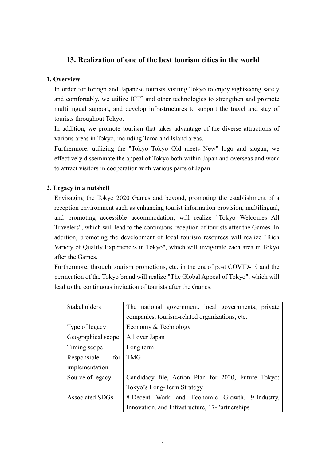## **13. Realization of one of the best tourism cities in the world**

## **1. Overview**

In order for foreign and Japanese tourists visiting Tokyo to enjoy sightseeing safely and comfortably, we utilize ICT<sup>\*</sup> and other technologies to strengthen and promote multilingual support, and develop infrastructures to support the travel and stay of tourists throughout Tokyo.

In addition, we promote tourism that takes advantage of the diverse attractions of various areas in Tokyo, including Tama and Island areas.

Furthermore, utilizing the "Tokyo Tokyo Old meets New" logo and slogan, we effectively disseminate the appeal of Tokyo both within Japan and overseas and work to attract visitors in cooperation with various parts of Japan.

## **2. Legacy in a nutshell**

Envisaging the Tokyo 2020 Games and beyond, promoting the establishment of a reception environment such as enhancing tourist information provision, multilingual, and promoting accessible accommodation, will realize "Tokyo Welcomes All Travelers", which will lead to the continuous reception of tourists after the Games. In addition, promoting the development of local tourism resources will realize "Rich Variety of Quality Experiences in Tokyo", which will invigorate each area in Tokyo after the Games.

Furthermore, through tourism promotions, etc. in the era of post COVID-19 and the permeation of the Tokyo brand will realize "The Global Appeal of Tokyo", which will lead to the continuous invitation of tourists after the Games.

| <b>Stakeholders</b>    | The national government, local governments, private |  |
|------------------------|-----------------------------------------------------|--|
|                        | companies, tourism-related organizations, etc.      |  |
| Type of legacy         | Economy & Technology                                |  |
| Geographical scope     | All over Japan                                      |  |
| Timing scope           | Long term                                           |  |
| for<br>Responsible     | <b>TMG</b>                                          |  |
| implementation         |                                                     |  |
| Source of legacy       | Candidacy file, Action Plan for 2020, Future Tokyo: |  |
|                        | Tokyo's Long-Term Strategy                          |  |
| <b>Associated SDGs</b> | 8-Decent Work and Economic Growth, 9-Industry,      |  |
|                        | Innovation, and Infrastructure, 17-Partnerships     |  |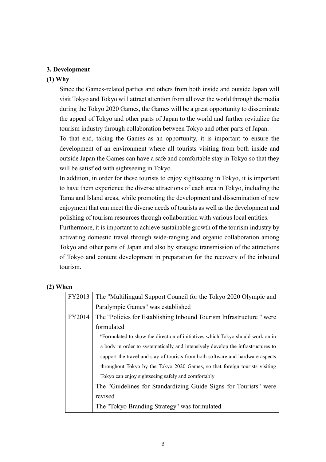### **3. Development**

## **(1) Why**

Since the Games-related parties and others from both inside and outside Japan will visit Tokyo and Tokyo will attract attention from all over the world through the media during the Tokyo 2020 Games, the Games will be a great opportunity to disseminate the appeal of Tokyo and other parts of Japan to the world and further revitalize the tourism industry through collaboration between Tokyo and other parts of Japan.

To that end, taking the Games as an opportunity, it is important to ensure the development of an environment where all tourists visiting from both inside and outside Japan the Games can have a safe and comfortable stay in Tokyo so that they will be satisfied with sightseeing in Tokyo.

In addition, in order for these tourists to enjoy sightseeing in Tokyo, it is important to have them experience the diverse attractions of each area in Tokyo, including the Tama and Island areas, while promoting the development and dissemination of new enjoyment that can meet the diverse needs of tourists as well as the development and polishing of tourism resources through collaboration with various local entities.

Furthermore, it is important to achieve sustainable growth of the tourism industry by activating domestic travel through wide-ranging and organic collaboration among Tokyo and other parts of Japan and also by strategic transmission of the attractions of Tokyo and content development in preparation for the recovery of the inbound tourism.

### **(2) When**

| FY2013 | The "Multilingual Support Council for the Tokyo 2020 Olympic and                 |  |
|--------|----------------------------------------------------------------------------------|--|
|        | Paralympic Games" was established                                                |  |
| FY2014 | The "Policies for Establishing Inbound Tourism Infrastructure " were             |  |
|        | formulated                                                                       |  |
|        | *Formulated to show the direction of initiatives which Tokyo should work on in   |  |
|        | a body in order to systematically and intensively develop the infrastructures to |  |
|        | support the travel and stay of tourists from both software and hardware aspects  |  |
|        | throughout Tokyo by the Tokyo 2020 Games, so that foreign tourists visiting      |  |
|        | Tokyo can enjoy sightseeing safely and comfortably                               |  |
|        | The "Guidelines for Standardizing Guide Signs for Tourists" were                 |  |
|        | revised                                                                          |  |
|        | The "Tokyo Branding Strategy" was formulated                                     |  |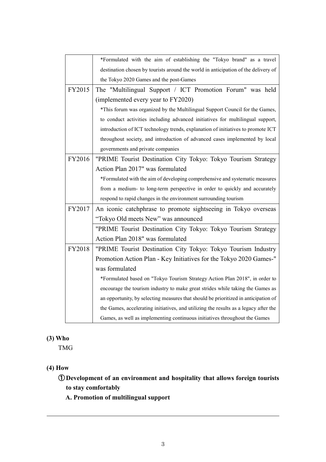|        | *Formulated with the aim of establishing the "Tokyo brand" as a travel               |  |
|--------|--------------------------------------------------------------------------------------|--|
|        | destination chosen by tourists around the world in anticipation of the delivery of   |  |
|        | the Tokyo 2020 Games and the post-Games                                              |  |
| FY2015 | The "Multilingual Support / ICT Promotion Forum" was held                            |  |
|        | (implemented every year to FY2020)                                                   |  |
|        | *This forum was organized by the Multilingual Support Council for the Games,         |  |
|        | to conduct activities including advanced initiatives for multilingual support,       |  |
|        | introduction of ICT technology trends, explanation of initiatives to promote ICT     |  |
|        | throughout society, and introduction of advanced cases implemented by local          |  |
|        | governments and private companies                                                    |  |
| FY2016 | "PRIME Tourist Destination City Tokyo: Tokyo Tourism Strategy                        |  |
|        | Action Plan 2017" was formulated                                                     |  |
|        | *Formulated with the aim of developing comprehensive and systematic measures         |  |
|        | from a medium- to long-term perspective in order to quickly and accurately           |  |
|        | respond to rapid changes in the environment surrounding tourism                      |  |
| FY2017 | An iconic catchphrase to promote sightseeing in Tokyo overseas                       |  |
|        | "Tokyo Old meets New" was announced                                                  |  |
|        | "PRIME Tourist Destination City Tokyo: Tokyo Tourism Strategy                        |  |
|        | Action Plan 2018" was formulated                                                     |  |
| FY2018 | "PRIME Tourist Destination City Tokyo: Tokyo Tourism Industry                        |  |
|        | Promotion Action Plan - Key Initiatives for the Tokyo 2020 Games-"                   |  |
|        | was formulated                                                                       |  |
|        | *Formulated based on "Tokyo Tourism Strategy Action Plan 2018", in order to          |  |
|        | encourage the tourism industry to make great strides while taking the Games as       |  |
|        | an opportunity, by selecting measures that should be prioritized in anticipation of  |  |
|        | the Games, accelerating initiatives, and utilizing the results as a legacy after the |  |
|        | Games, as well as implementing continuous initiatives throughout the Games           |  |

## **(3) Who**

TMG

# **(4) How**

① **Development of an environment and hospitality that allows foreign tourists to stay comfortably**

**A. Promotion of multilingual support**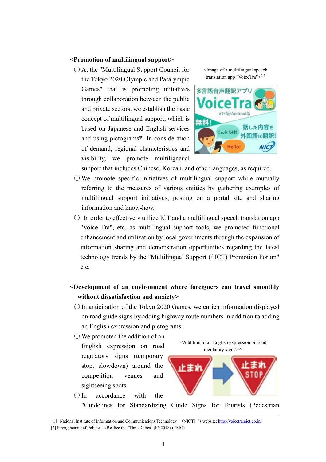#### **<Promotion of multilingual support>**

○ At the "Multilingual Support Council for the Tokyo 2020 Olympic and Paralympic Games" that is promoting initiatives through collaboration between the public and private sectors, we establish the basic concept of multilingual support, which is based on Japanese and English services and using pictograms\*. In consideration of demand, regional characteristics and visibility, we promote multilignaual

<Image of a multilingual speech translation app "VoiceTra">[1]



support that includes Chinese, Korean, and other languages, as required.

- $\bigcirc$  We promote specific initiatives of multilingual support while mutually referring to the measures of various entities by gathering examples of multilingual support initiatives, posting on a portal site and sharing information and know-how.
- $\circ$  In order to effectively utilize ICT and a multilingual speech translation app "Voice Tra", etc. as multilingual support tools, we promoted functional enhancement and utilization by local governments through the expansion of information sharing and demonstration opportunities regarding the latest technology trends by the "Multilingual Support (/ ICT) Promotion Forum" etc.

## **<Development of an environment where foreigners can travel smoothly without dissatisfaction and anxiety>**

- $\circ$  In anticipation of the Tokyo 2020 Games, we enrich information displayed on road guide signs by adding highway route numbers in addition to adding an English expression and pictograms.
- $\bigcirc$  We promoted the addition of an English expression on road regulatory signs (temporary stop, slowdown) around the competition venues and sightseeing spots.

<Addition of an English expression on road regulatory signs $>^{[2]}$ 



 $\bigcirc$  In accordance with the "Guidelines for Standardizing Guide Signs for Tourists (Pedestrian

<sup>[1]</sup> National Institute of Information and Communications Technology (NICT)'s website[: http://voicetra.nict.go.jp/](http://voicetra.nict.go.jp/)

<sup>[2]</sup> Strengthening of Policies to Realize the "Three Cities" (FY2018) (TMG)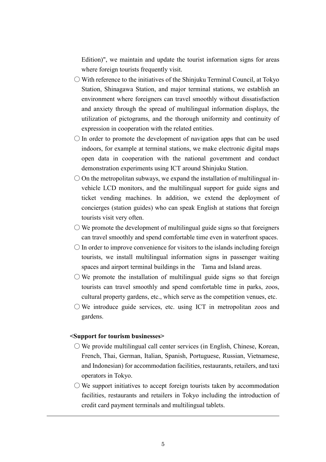Edition)", we maintain and update the tourist information signs for areas where foreign tourists frequently visit.

- $\bigcirc$  With reference to the initiatives of the Shinjuku Terminal Council, at Tokyo Station, Shinagawa Station, and major terminal stations, we establish an environment where foreigners can travel smoothly without dissatisfaction and anxiety through the spread of multilingual information displays, the utilization of pictograms, and the thorough uniformity and continuity of expression in cooperation with the related entities.
- $\bigcirc$  In order to promote the development of navigation apps that can be used indoors, for example at terminal stations, we make electronic digital maps open data in cooperation with the national government and conduct demonstration experiments using ICT around Shinjuku Station.
- $\circ$  On the metropolitan subways, we expand the installation of multilingual invehicle LCD monitors, and the multilingual support for guide signs and ticket vending machines. In addition, we extend the deployment of concierges (station guides) who can speak English at stations that foreign tourists visit very often.
- $\circlearrowright$  We promote the development of multilingual guide signs so that foreigners can travel smoothly and spend comfortable time even in waterfront spaces.
- $\bigcirc$  In order to improve convenience for visitors to the islands including foreign tourists, we install multilingual information signs in passenger waiting spaces and airport terminal buildings in the Tama and Island areas.
- $\bigcirc$  We promote the installation of multilingual guide signs so that foreign tourists can travel smoothly and spend comfortable time in parks, zoos, cultural property gardens, etc., which serve as the competition venues, etc.
- $\circlearrowright$  We introduce guide services, etc. using ICT in metropolitan zoos and gardens.

#### **<Support for tourism businesses>**

- $\bigcirc$  We provide multilingual call center services (in English, Chinese, Korean, French, Thai, German, Italian, Spanish, Portuguese, Russian, Vietnamese, and Indonesian) for accommodation facilities, restaurants, retailers, and taxi operators in Tokyo.
- $\circlearrowright$  We support initiatives to accept foreign tourists taken by accommodation facilities, restaurants and retailers in Tokyo including the introduction of credit card payment terminals and multilingual tablets.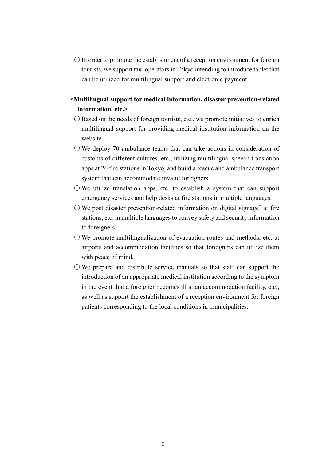- $\bigcirc$  In order to promote the establishment of a reception environment for foreign tourists, we support taxi operators in Tokyo intending to introduce tablet that can be utilized for multilingual support and electronic payment.
- **<Multilingual support for medical information, disaster prevention-related information, etc.>**
	- $\bigcirc$  Based on the needs of foreign tourists, etc., we promote initiatives to enrich multilingual support for providing medical institution information on the website.
	- $\circlearrowright$  We deploy 70 ambulance teams that can take actions in consideration of customs of different cultures, etc., utilizing multilingual speech translation apps at 26 fire stations in Tokyo, and build a rescue and ambulance transport system that can accommodate invalid foreigners.
	- $\bigcirc$  We utilize translation apps, etc. to establish a system that can support emergency services and help desks at fire stations in multiple languages.
	- $\bigcirc$  We post disaster prevention-related information on digital signage\* at fire stations, etc. in multiple languages to convey safety and security information to foreigners.
	- $\bigcirc$  We promote multilingualization of evacuation routes and methods, etc. at airports and accommodation facilities so that foreigners can utilize them with peace of mind.
	- $\bigcirc$  We prepare and distribute service manuals so that staff can support the introduction of an appropriate medical institution according to the symptom in the event that a foreigner becomes ill at an accommodation facility, etc., as well as support the establishment of a reception environment for foreign patients corresponding to the local conditions in municipalities.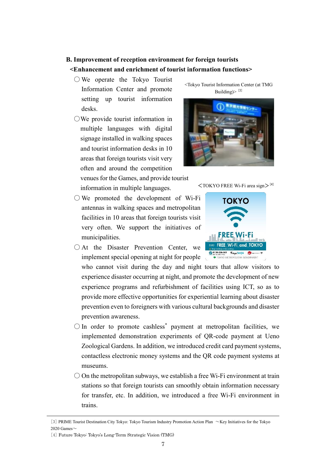- **B. Improvement of reception environment for foreign tourists <Enhancement and enrichment of tourist information functions>**
	- $\bigcirc$  We operate the Tokyo Tourist Information Center and promote setting up tourist information desks.
	- ○We provide tourist information in multiple languages with digital signage installed in walking spaces and tourist information desks in 10 areas that foreign tourists visit very often and around the competition venues for the Games, and provide tourist

information in multiple languages.

- $\bigcirc$  We promoted the development of Wi-Fi antennas in walking spaces and metropolitan facilities in 10 areas that foreign tourists visit very often. We support the initiatives of municipalities.
- $\bigcirc$  At the Disaster Prevention Center, we implement special opening at night for people

who cannot visit during the day and night tours that allow visitors to experience disaster occurring at night, and promote the development of new experience programs and refurbishment of facilities using ICT, so as to provide more effective opportunities for experiential learning about disaster prevention even to foreigners with various cultural backgrounds and disaster prevention awareness.

- In order to promote cashless\* payment at metropolitan facilities, we implemented demonstration experiments of QR-code payment at Ueno Zoological Gardens. In addition, we introduced credit card payment systems, contactless electronic money systems and the QR code payment systems at museums.
- $\bigcirc$  On the metropolitan subways, we establish a free Wi-Fi environment at train stations so that foreign tourists can smoothly obtain information necessary for transfer, etc. In addition, we introduced a free Wi-Fi environment in trains.

<Tokyo Tourist Information Center (at TMG Building $>$ <sup>[3]</sup>



 $\langle$ TOKYO FREE Wi-Fi area sign $>^{[4]}$ 



<sup>[3]</sup> PRIME Tourist Destination City Tokyo: Tokyo Tourism Industry Promotion Action Plan ~Key Initiatives for the Tokyo 2020 Games~

<sup>[4]</sup> Future Tokyo: Tokyo's Long-Term Strategic Vision (TMG)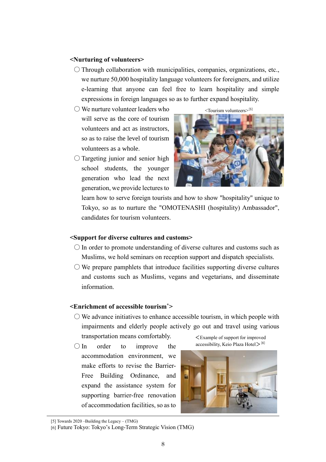#### **<Nurturing of volunteers>**

- $\bigcirc$  Through collaboration with municipalities, companies, organizations, etc., we nurture 50,000 hospitality language volunteers for foreigners, and utilize e-learning that anyone can feel free to learn hospitality and simple expressions in foreign languages so as to further expand hospitality.
- $\bigcirc$  We nurture volunteer leaders who will serve as the core of tourism volunteers and act as instructors, so as to raise the level of tourism volunteers as a whole.
- $\bigcirc$  Targeting junior and senior high school students, the younger generation who lead the next generation, we provide lectures to



learn how to serve foreign tourists and how to show "hospitality" unique to Tokyo, so as to nurture the "OMOTENASHI (hospitality) Ambassador", candidates for tourism volunteers.

### **<Support for diverse cultures and customs>**

- $\bigcirc$  In order to promote understanding of diverse cultures and customs such as Muslims, we hold seminars on reception support and dispatch specialists.
- $\bigcirc$  We prepare pamphlets that introduce facilities supporting diverse cultures and customs such as Muslims, vegans and vegetarians, and disseminate information.

#### **<Enrichment of accessible tourism\*>**

- $\bigcirc$  We advance initiatives to enhance accessible tourism, in which people with impairments and elderly people actively go out and travel using various transportation means comfortably.
- $\bigcirc$  In order to improve the accommodation environment, we make efforts to revise the Barrier-Free Building Ordinance, and expand the assistance system for supporting barrier-free renovation of accommodation facilities, so as to

<Example of support for improved accessibility, Keio Plaza Hotel $>$ [6]



<sup>[5]</sup> Towards 2020 –Building the Legacy – (TMG)

<sup>[6]</sup> Future Tokyo: Tokyo's Long-Term Strategic Vision (TMG)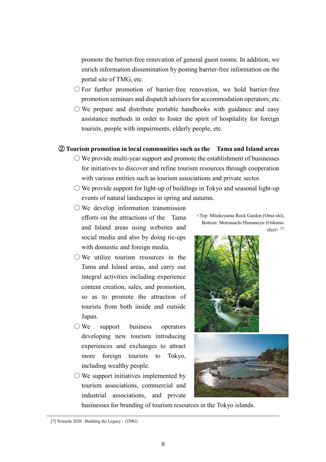promote the barrier-free renovation of general guest rooms. In addition, we enrich information dissemination by posting barrier-free information on the portal site of TMG, etc.

- For further promotion of barrier-free renovation, we hold barrier-free promotion seminars and dispatch advisors for accommodation operators, etc.
- $\circlearrowright$  We prepare and distribute portable handbooks with guidance and easy assistance methods in order to foster the spirit of hospitality for foreign tourists, people with impairments, elderly people, etc.

### ② **Tourism promotion in local communities such as the Tama and Island areas**

- $\bigcirc$  We provide multi-year support and promote the establishment of businesses for initiatives to discover and refine tourism resources through cooperation with various entities such as tourism associations and private sector.
- $\circlearrowright$  We provide support for light-up of buildings in Tokyo and seasonal light-up events of natural landscapes in spring and autumn.
- $\bigcirc$  We develop information transmission efforts on the attractions of the Tama and Island areas using websites and social media and also by doing tie-ups with domestic and foreign media.
- $\bigcirc$  We utilize tourism resources in the Tama and Island areas, and carry out integral activities including experience content creation, sales, and promotion, so as to promote the attraction of tourists from both inside and outside Japan.
- We support business operators developing new tourism introducing experiences and exchanges to attract more foreign tourists to Tokyo, including wealthy people.
- $\bigcirc$  We support initiatives implemented by tourism associations, commercial and industrial associations, and private

<Top: Mitakeyama Rock Garden (Ome-shi), Bottom: Motomachi Hamanoyu (Oshimacho) $>$  [7]





businesses for branding of tourism resources in the Tokyo islands.

<sup>[7]</sup> Towards 2020 –Building the Legacy – (TMG)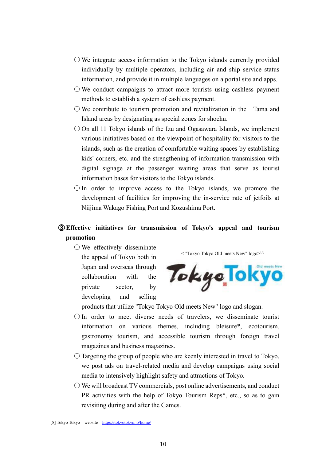- $\circlearrowright$  We integrate access information to the Tokyo islands currently provided individually by multiple operators, including air and ship service status information, and provide it in multiple languages on a portal site and apps.
- $\bigcirc$  We conduct campaigns to attract more tourists using cashless payment methods to establish a system of cashless payment.
- $\circlearrowright$  We contribute to tourism promotion and revitalization in the Tama and Island areas by designating as special zones for shochu.
- $\circ$  On all 11 Tokyo islands of the Izu and Ogasawara Islands, we implement various initiatives based on the viewpoint of hospitality for visitors to the islands, such as the creation of comfortable waiting spaces by establishing kids' corners, etc. and the strengthening of information transmission with digital signage at the passenger waiting areas that serve as tourist information bases for visitors to the Tokyo islands.
- $\bigcirc$  In order to improve access to the Tokyo islands, we promote the development of facilities for improving the in-service rate of jetfoils at Niijima Wakago Fishing Port and Kozushima Port.

# ③ **Effective initiatives for transmission of Tokyo's appeal and tourism promotion**

 $\bigcirc$  We effectively disseminate the appeal of Tokyo both in Japan and overseas through collaboration with the private sector, by developing and selling

< "Tokyo Tokyo Old meets New" logo> [8]



products that utilize "Tokyo Tokyo Old meets New" logo and slogan.

- $\bigcirc$  In order to meet diverse needs of travelers, we disseminate tourist information on various themes, including bleisure\*, ecotourism, gastronomy tourism, and accessible tourism through foreign travel magazines and business magazines.
- $\bigcirc$  Targeting the group of people who are keenly interested in travel to Tokyo, we post ads on travel-related media and develop campaigns using social media to intensively highlight safety and attractions of Tokyo.
- $\bigcirc$  We will broadcast TV commercials, post online advertisements, and conduct PR activities with the help of Tokyo Tourism Reps\*, etc., so as to gain revisiting during and after the Games.

<sup>[8]</sup> Tokyo Tokyo website <https://tokyotokyo.jp/home/>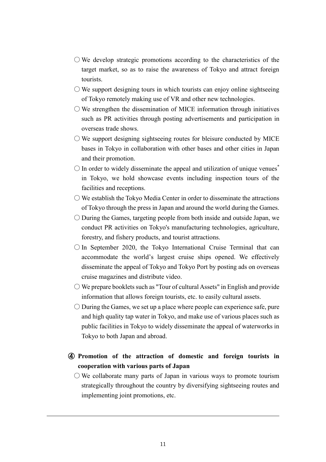- $\circlearrowright$  We develop strategic promotions according to the characteristics of the target market, so as to raise the awareness of Tokyo and attract foreign tourists.
- $\circlearrowright$  We support designing tours in which tourists can enjoy online sightseeing of Tokyo remotely making use of VR and other new technologies.
- $\circlearrowright$  We strengthen the dissemination of MICE information through initiatives such as PR activities through posting advertisements and participation in overseas trade shows.
- $\bigcirc$  We support designing sightseeing routes for bleisure conducted by MICE bases in Tokyo in collaboration with other bases and other cities in Japan and their promotion.
- $\bigcirc$  In order to widely disseminate the appeal and utilization of unique venues<sup>\*</sup> in Tokyo, we hold showcase events including inspection tours of the facilities and receptions.
- $\bigcirc$  We establish the Tokyo Media Center in order to disseminate the attractions of Tokyo through the press in Japan and around the world during the Games.
- During the Games, targeting people from both inside and outside Japan, we conduct PR activities on Tokyo's manufacturing technologies, agriculture, forestry, and fishery products, and tourist attractions.
- $\bigcirc$  In September 2020, the Tokyo International Cruise Terminal that can accommodate the world's largest cruise ships opened. We effectively disseminate the appeal of Tokyo and Tokyo Port by posting ads on overseas cruise magazines and distribute video.
- $\bigcirc$  We prepare booklets such as "Tour of cultural Assets" in English and provide information that allows foreign tourists, etc. to easily cultural assets.
- $\bigcirc$  During the Games, we set up a place where people can experience safe, pure and high quality tap water in Tokyo, and make use of various places such as public facilities in Tokyo to widely disseminate the appeal of waterworks in Tokyo to both Japan and abroad.

## ④ **Promotion of the attraction of domestic and foreign tourists in cooperation with various parts of Japan**

 $\circlearrowright$  We collaborate many parts of Japan in various ways to promote tourism strategically throughout the country by diversifying sightseeing routes and implementing joint promotions, etc.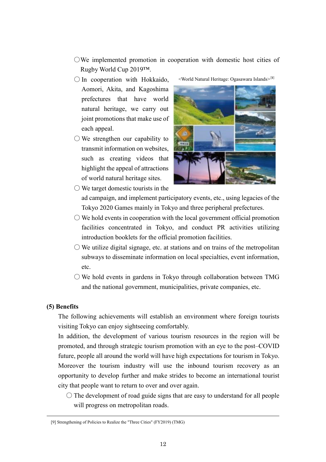- ○We implemented promotion in cooperation with domestic host cities of Rugby World Cup 2019™.
- $\bigcirc$  In cooperation with Hokkaido, Aomori, Akita, and Kagoshima prefectures that have world natural heritage, we carry out joint promotions that make use of each appeal.
- $\bigcirc$  We strengthen our capability to transmit information on websites, such as creating videos that highlight the appeal of attractions of world natural heritage sites.

 $\bigcirc$  We target domestic tourists in the

<World Natural Heritage: Ogasawara Islands>[9]



ad campaign, and implement participatory events, etc., using legacies of the Tokyo 2020 Games mainly in Tokyo and three peripheral prefectures.

- $\bigcirc$  We hold events in cooperation with the local government official promotion facilities concentrated in Tokyo, and conduct PR activities utilizing introduction booklets for the official promotion facilities.
- $\circlearrowright$  We utilize digital signage, etc. at stations and on trains of the metropolitan subways to disseminate information on local specialties, event information, etc.

 $\circlearrowright$  We hold events in gardens in Tokyo through collaboration between TMG and the national government, municipalities, private companies, etc.

### **(5) Benefits**

The following achievements will establish an environment where foreign tourists visiting Tokyo can enjoy sightseeing comfortably.

In addition, the development of various tourism resources in the region will be promoted, and through strategic tourism promotion with an eye to the post–COVID future, people all around the world will have high expectations for tourism in Tokyo. Moreover the tourism industry will use the inbound tourism recovery as an opportunity to develop further and make strides to become an international tourist city that people want to return to over and over again.

 $\circ$  The development of road guide signs that are easy to understand for all people will progress on metropolitan roads.

<sup>[9]</sup> Strengthening of Policies to Realize the "Three Cities" (FY2019) (TMG)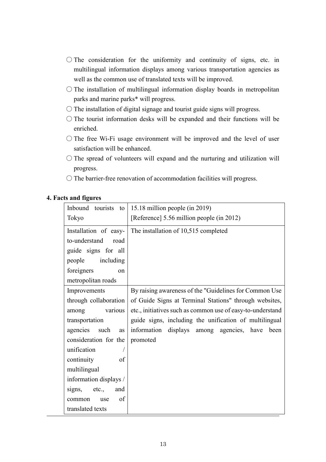- $\bigcirc$  The consideration for the uniformity and continuity of signs, etc. in multilingual information displays among various transportation agencies as well as the common use of translated texts will be improved.
- $\bigcirc$  The installation of multilingual information display boards in metropolitan parks and marine parks\* will progress.
- The installation of digital signage and tourist guide signs will progress.
- $\bigcirc$  The tourist information desks will be expanded and their functions will be enriched.
- $\bigcirc$  The free Wi-Fi usage environment will be improved and the level of user satisfaction will be enhanced.
- $\bigcirc$  The spread of volunteers will expand and the nurturing and utilization will progress.
- $\bigcirc$  The barrier-free renovation of accommodation facilities will progress.

| Inbound<br>tourists to      | 15.18 million people (in 2019)                             |
|-----------------------------|------------------------------------------------------------|
| Tokyo                       | [Reference] 5.56 million people (in 2012)                  |
| Installation of easy-       | The installation of 10,515 completed                       |
| to-understand<br>road       |                                                            |
| guide signs for all         |                                                            |
| including<br>people         |                                                            |
| foreigners<br><sub>on</sub> |                                                            |
| metropolitan roads          |                                                            |
| Improvements                | By raising awareness of the "Guidelines for Common Use     |
| through collaboration       | of Guide Signs at Terminal Stations" through websites,     |
| various<br>among            | etc., initiatives such as common use of easy-to-understand |
| transportation              | guide signs, including the unification of multilingual     |
| agencies<br>such<br>as      | information displays among agencies, have<br>been          |
| consideration for the       | promoted                                                   |
| unification                 |                                                            |
| continuity<br>of            |                                                            |
| multilingual                |                                                            |
| information displays /      |                                                            |
| signs, etc.,<br>and         |                                                            |
| of<br>common<br>use         |                                                            |
| translated texts            |                                                            |

#### **4. Facts and figures**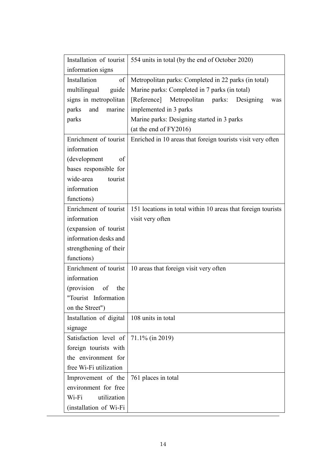| Installation of tourist | 554 units in total (by the end of October 2020)              |
|-------------------------|--------------------------------------------------------------|
| information signs       |                                                              |
| Installation<br>of      | Metropolitan parks: Completed in 22 parks (in total)         |
| guide<br>multilingual   | Marine parks: Completed in 7 parks (in total)                |
| signs in metropolitan   | [Reference] Metropolitan parks:<br>Designing<br>was          |
| and marine<br>parks     | implemented in 3 parks                                       |
| parks                   | Marine parks: Designing started in 3 parks                   |
|                         | (at the end of FY2016)                                       |
| Enrichment of tourist   | Enriched in 10 areas that foreign tourists visit very often  |
| information             |                                                              |
| (development<br>of      |                                                              |
| bases responsible for   |                                                              |
| wide-area<br>tourist    |                                                              |
| information             |                                                              |
| functions)              |                                                              |
| Enrichment of tourist   | 151 locations in total within 10 areas that foreign tourists |
| information             | visit very often                                             |
| (expansion of tourist   |                                                              |
| information desks and   |                                                              |
| strengthening of their  |                                                              |
| functions)              |                                                              |
| Enrichment of tourist   | 10 areas that foreign visit very often                       |
| information             |                                                              |
| (provision of<br>the    |                                                              |
| "Tourist Information    |                                                              |
| on the Street")         |                                                              |
| Installation of digital | 108 units in total                                           |
| signage                 |                                                              |
| Satisfaction level of   | 71.1% (in 2019)                                              |
| foreign tourists with   |                                                              |
| the environment for     |                                                              |
| free Wi-Fi utilization  |                                                              |
| Improvement of the      | 761 places in total                                          |
| environment for free    |                                                              |
| utilization<br>Wi-Fi    |                                                              |
| (installation of Wi-Fi  |                                                              |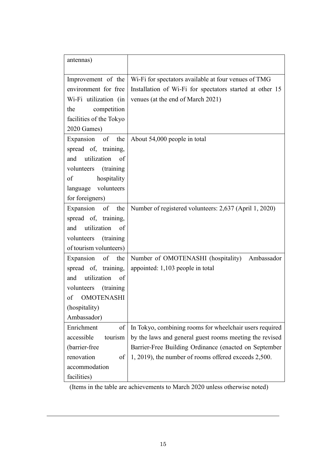| antennas)                |                                                          |
|--------------------------|----------------------------------------------------------|
| Improvement of the       | Wi-Fi for spectators available at four venues of TMG     |
| environment for free     | Installation of Wi-Fi for spectators started at other 15 |
| Wi-Fi utilization (in    | venues (at the end of March 2021)                        |
| competition<br>the       |                                                          |
| facilities of the Tokyo  |                                                          |
| 2020 Games)              |                                                          |
| Expansion of the         | About 54,000 people in total                             |
| spread of, training,     |                                                          |
| and utilization of       |                                                          |
| volunteers (training)    |                                                          |
| hospitality<br>of        |                                                          |
| language volunteers      |                                                          |
| for foreigners)          |                                                          |
| Expansion of the         | Number of registered volunteers: 2,637 (April 1, 2020)   |
| spread of, training,     |                                                          |
| and utilization of       |                                                          |
| volunteers<br>(training) |                                                          |
| of tourism volunteers)   |                                                          |
| Expansion<br>of<br>the   | Number of OMOTENASHI (hospitality)<br>Ambassador         |
| spread of, training,     | appointed: 1,103 people in total                         |
| utilization<br>and<br>of |                                                          |
| volunteers<br>(training) |                                                          |
| of OMOTENASHI            |                                                          |
| (hospitality)            |                                                          |
| Ambassador)              |                                                          |
| Enrichment<br>of         | In Tokyo, combining rooms for wheelchair users required  |
| tourism<br>accessible    | by the laws and general guest rooms meeting the revised  |
| (barrier-free            | Barrier-Free Building Ordinance (enacted on September    |
| renovation<br>of         | 1, 2019), the number of rooms offered exceeds 2,500.     |
| accommodation            |                                                          |
| facilities)              |                                                          |

(Items in the table are achievements to March 2020 unless otherwise noted)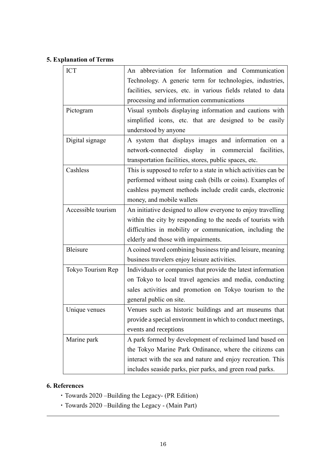# **5. Explanation of Terms**

| <b>ICT</b>         | An abbreviation for Information and Communication               |
|--------------------|-----------------------------------------------------------------|
|                    | Technology. A generic term for technologies, industries,        |
|                    | facilities, services, etc. in various fields related to data    |
|                    | processing and information communications                       |
| Pictogram          | Visual symbols displaying information and cautions with         |
|                    | simplified icons, etc. that are designed to be easily           |
|                    | understood by anyone                                            |
| Digital signage    | A system that displays images and information on a              |
|                    | network-connected display in commercial facilities,             |
|                    | transportation facilities, stores, public spaces, etc.          |
| Cashless           | This is supposed to refer to a state in which activities can be |
|                    | performed without using cash (bills or coins). Examples of      |
|                    | cashless payment methods include credit cards, electronic       |
|                    | money, and mobile wallets                                       |
| Accessible tourism | An initiative designed to allow everyone to enjoy travelling    |
|                    | within the city by responding to the needs of tourists with     |
|                    | difficulties in mobility or communication, including the        |
|                    | elderly and those with impairments.                             |
| <b>Bleisure</b>    | A coined word combining business trip and leisure, meaning      |
|                    | business travelers enjoy leisure activities.                    |
| Tokyo Tourism Rep  | Individuals or companies that provide the latest information    |
|                    | on Tokyo to local travel agencies and media, conducting         |
|                    | sales activities and promotion on Tokyo tourism to the          |
|                    | general public on site.                                         |
| Unique venues      | Venues such as historic buildings and art museums that          |
|                    | provide a special environment in which to conduct meetings,     |
|                    | events and receptions                                           |
| Marine park        | A park formed by development of reclaimed land based on         |
|                    | the Tokyo Marine Park Ordinance, where the citizens can         |
|                    | interact with the sea and nature and enjoy recreation. This     |
|                    | includes seaside parks, pier parks, and green road parks.       |

## **6. References**

- ・Towards 2020 –Building the Legacy- (PR Edition)
- ・Towards 2020 –Building the Legacy (Main Part)